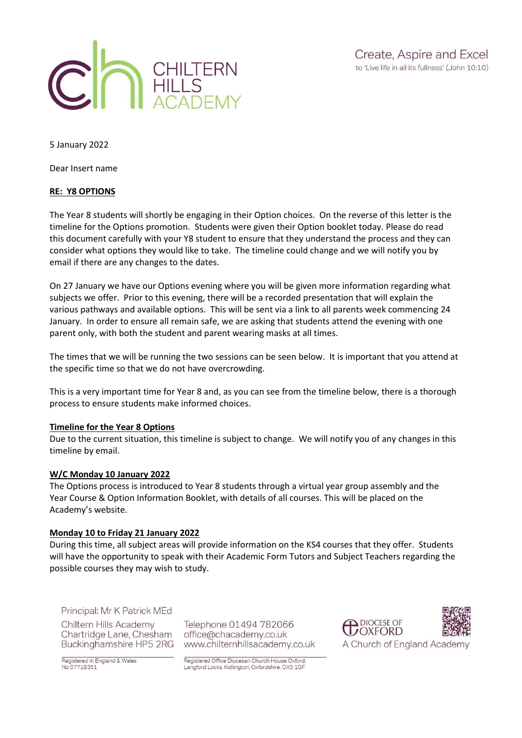

5 January 2022

Dear Insert name

#### **RE: Y8 OPTIONS**

The Year 8 students will shortly be engaging in their Option choices. On the reverse of this letter is the timeline for the Options promotion. Students were given their Option booklet today. Please do read this document carefully with your Y8 student to ensure that they understand the process and they can consider what options they would like to take. The timeline could change and we will notify you by email if there are any changes to the dates.

On 27 January we have our Options evening where you will be given more information regarding what subjects we offer. Prior to this evening, there will be a recorded presentation that will explain the various pathways and available options. This will be sent via a link to all parents week commencing 24 January. In order to ensure all remain safe, we are asking that students attend the evening with one parent only, with both the student and parent wearing masks at all times.

The times that we will be running the two sessions can be seen below. It is important that you attend at the specific time so that we do not have overcrowding.

This is a very important time for Year 8 and, as you can see from the timeline below, there is a thorough process to ensure students make informed choices.

#### **Timeline for the Year 8 Options**

Due to the current situation, this timeline is subject to change. We will notify you of any changes in this timeline by email.

#### **W/C Monday 10 January 2022**

The Options process is introduced to Year 8 students through a virtual year group assembly and the Year Course & Option Information Booklet, with details of all courses. This will be placed on the Academy's website.

#### **Monday 10 to Friday 21 January 2022**

During this time, all subject areas will provide information on the KS4 courses that they offer. Students will have the opportunity to speak with their Academic Form Tutors and Subject Teachers regarding the possible courses they may wish to study.

#### Principal: Mr K Patrick MEd

Chiltern Hills Academy Chartridge Lane, Chesham Buckinghamshire HP5 2RG

Registered in England & Wales<br>No 07718351

Telephone 01494 782066 office@chacademy.co.uk www.chilternhillsacademy.co.uk



Registered Office Diocesan Church House Oxford, Langford Locks, Kidlington, Oxfordshire. OX5 1GF